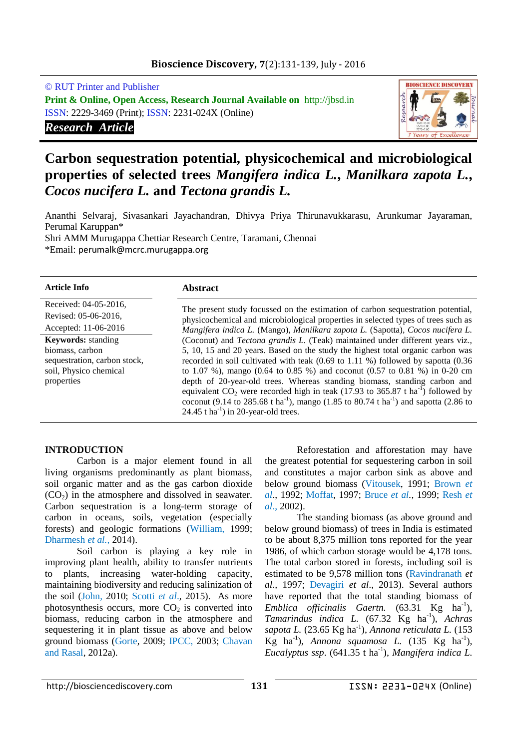# **Bioscience Discovery, 7**(2):131-139, July - 2016

© RUT Printer and Publisher **Print & Online, Open Access, Research Journal Available on** http://jbsd.in ISSN: 2229-3469 (Print); ISSN: 2231-024X (Online) *Research Article*



# **Carbon sequestration potential, physicochemical and microbiological properties of selected trees** *Mangifera indica L.***,** *Manilkara zapota L.***,**  *Cocos nucifera L.* **and** *Tectona grandis L.*

Ananthi Selvaraj, Sivasankari Jayachandran, Dhivya Priya Thirunavukkarasu, Arunkumar Jayaraman, Perumal Karuppan\* Shri AMM Murugappa Chettiar Research Centre, Taramani, Chennai

\*Email: perumalk@mcrc.murugappa.org

| <b>Article Info</b>                                                                                                  | <b>Abstract</b>                                                                                                                                                                                                                                                                                                                                                                                                                                                                                                                                                                                                                                                                        |  |  |
|----------------------------------------------------------------------------------------------------------------------|----------------------------------------------------------------------------------------------------------------------------------------------------------------------------------------------------------------------------------------------------------------------------------------------------------------------------------------------------------------------------------------------------------------------------------------------------------------------------------------------------------------------------------------------------------------------------------------------------------------------------------------------------------------------------------------|--|--|
| Received: 04-05-2016,<br>Revised: 05-06-2016,                                                                        | The present study focussed on the estimation of carbon sequestration potential,                                                                                                                                                                                                                                                                                                                                                                                                                                                                                                                                                                                                        |  |  |
| Accepted: 11-06-2016                                                                                                 | physicochemical and microbiological properties in selected types of trees such as<br>Mangifera indica L. (Mango), Manilkara zapota L. (Sapotta), Cocos nucifera L.                                                                                                                                                                                                                                                                                                                                                                                                                                                                                                                     |  |  |
| <b>Keywords:</b> standing<br>biomass, carbon<br>sequestration, carbon stock,<br>soil, Physico chemical<br>properties | (Coconut) and Tectona grandis L. (Teak) maintained under different years viz.,<br>5, 10, 15 and 20 years. Based on the study the highest total organic carbon was<br>recorded in soil cultivated with teak (0.69 to 1.11 %) followed by sapotta (0.36<br>to 1.07 %), mango (0.64 to 0.85 %) and coconut (0.57 to 0.81 %) in 0-20 cm<br>depth of 20-year-old trees. Whereas standing biomass, standing carbon and<br>equivalent $CO_2$ were recorded high in teak (17.93 to 365.87 t ha <sup>-1</sup> ) followed by<br>coconut (9.14 to 285.68 t ha <sup>-1</sup> ), mango (1.85 to 80.74 t ha <sup>-1</sup> ) and sapotta (2.86 to<br>24.45 t ha <sup>-1</sup> ) in 20-year-old trees. |  |  |

#### **INTRODUCTION**

Carbon is a major element found in all living organisms predominantly as plant biomass, soil organic matter and as the gas carbon dioxide  $(CO<sub>2</sub>)$  in the atmosphere and dissolved in seawater. Carbon sequestration is a long-term storage of carbon in oceans, soils, vegetation (especially forests) and geologic formations (William, 1999; Dharmesh *et al.,* 2014).

Soil carbon is playing a key role in improving plant health, ability to transfer nutrients to plants, increasing water-holding capacity, maintaining biodiversity and reducing salinization of the soil (John, 2010; Scotti *et al*., 2015). As more photosynthesis occurs, more  $CO<sub>2</sub>$  is converted into biomass, reducing carbon in the atmosphere and sequestering it in plant tissue as above and below ground biomass (Gorte, 2009; IPCC, 2003; Chavan and Rasal, 2012a).

Reforestation and afforestation may have the greatest potential for sequestering carbon in soil and constitutes a major carbon sink as above and below ground biomass (Vitousek, 1991; Brown *et al*., 1992; Moffat, 1997; Bruce *et al.,* 1999; Resh *et al*., 2002).

The standing biomass (as above ground and below ground biomass) of trees in India is estimated to be about 8,375 million tons reported for the year 1986, of which carbon storage would be 4,178 tons. The total carbon stored in forests, including soil is estimated to be 9,578 million tons (Ravindranath *et al.,* 1997; Devagiri *et al*., 2013). Several authors have reported that the total standing biomass of *Emblica officinalis Gaertn.* (63.31 Kg ha<sup>-1</sup>), *Tamarindus indica L.* (67.32 Kg ha-1 ), *Achras*  sapota L. (23.65 Kg ha<sup>-1</sup>), *Annona reticulata L.* (153 Kg ha<sup>-1</sup>), *Annona squamosa L.*  $(135 \text{ Kg ha}^{-1})$ , Eucalyptus ssp. (641.35 t ha<sup>-1</sup>), *Mangifera indica L.*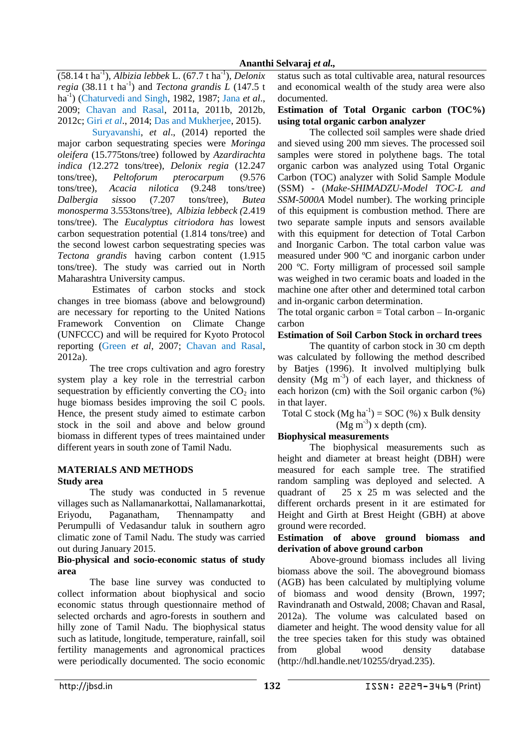(58.14 t ha-1 ), *Albizia lebbek* L. (67.7 t ha-1 ), *Delonix regia* (38.11 t ha<sup>-1</sup>) and *Tectona grandis L* (147.5 t ha-1 ) (Chaturvedi and Singh, 1982, 1987; Jana *et al*., 2009; Chavan and Rasal, 2011a, 2011b, 2012b, 2012c; Giri *et al*., 2014; Das and Mukherjee, 2015).

Suryavanshi, *et al*., (2014) reported the major carbon sequestrating species were *Moringa oleifera* (15.775tons/tree) followed by *Azardirachta indica (*12.272 tons/tree), *Delonix regia* (12.247 tons/tree), *Peltoforum pterocarpum* (9.576 tons/tree), *Acacia nilotica* (9.248 tons/tree) *Dalbergia siss*oo (7.207 tons/tree), *Butea monosperma* 3.553tons/tree), *Albizia lebbeck (*2.419 tons/tree). The *Eucalyptus citriodora has* lowest carbon sequestration potential (1.814 tons/tree) and the second lowest carbon sequestrating species was *Tectona grandis* having carbon content (1.915 tons/tree). The study was carried out in North Maharashtra University campus.

Estimates of carbon stocks and stock changes in tree biomass (above and belowground) are necessary for reporting to the United Nations Framework Convention on Climate Change (UNFCCC) and will be required for Kyoto Protocol reporting (Green *et al*, 2007; Chavan and Rasal, 2012a).

The tree crops cultivation and agro forestry system play a key role in the terrestrial carbon sequestration by efficiently converting the  $CO<sub>2</sub>$  into huge biomass besides improving the soil C pools. Hence, the present study aimed to estimate carbon stock in the soil and above and below ground biomass in different types of trees maintained under different years in south zone of Tamil Nadu.

# **MATERIALS AND METHODS**

# **Study area**

The study was conducted in 5 revenue villages such as Nallamanarkottai, Nallamanarkottai, Eriyodu, Paganatham, Thennampatty and Perumpulli of Vedasandur taluk in southern agro climatic zone of Tamil Nadu. The study was carried out during January 2015.

#### **Bio-physical and socio-economic status of study area**

The base line survey was conducted to collect information about biophysical and socio economic status through questionnaire method of selected orchards and agro-forests in southern and hilly zone of Tamil Nadu. The biophysical status such as latitude, longitude, temperature, rainfall, soil fertility managements and agronomical practices were periodically documented. The socio economic

status such as total cultivable area, natural resources and economical wealth of the study area were also documented.

#### **Estimation of Total Organic carbon (TOC%) using total organic carbon analyzer**

The collected soil samples were shade dried and sieved using 200 mm sieves. The processed soil samples were stored in polythene bags. The total organic carbon was analyzed using Total Organic Carbon (TOC) analyzer with Solid Sample Module (SSM) - (*Make-SHIMADZU-Model TOC-L and SSM-5000A* Model number). The working principle of this equipment is combustion method. There are two separate sample inputs and sensors available with this equipment for detection of Total Carbon and Inorganic Carbon. The total carbon value was measured under 900 ºC and inorganic carbon under 200 ºC. Forty milligram of processed soil sample was weighed in two ceramic boats and loaded in the machine one after other and determined total carbon and in-organic carbon determination.

The total organic carbon  $=$  Total carbon  $-$  In-organic carbon

# **Estimation of Soil Carbon Stock in orchard trees**

The quantity of carbon stock in 30 cm depth was calculated by following the method described by Batjes (1996). It involved multiplying bulk density  $(Mg \text{ m}^3)$  of each layer, and thickness of each horizon (cm) with the Soil organic carbon (%) in that layer.

Total C stock  $(Mg ha^{-1}) = SOC$  (%) x Bulk density  $(Mg\ m^3)$  x depth (cm).

# **Biophysical measurements**

The biophysical measurements such as height and diameter at breast height (DBH) were measured for each sample tree. The stratified random sampling was deployed and selected. A quadrant of 25 x 25 m was selected and the different orchards present in it are estimated for Height and Girth at Brest Height (GBH) at above ground were recorded.

# **Estimation of above ground biomass and derivation of above ground carbon**

Above-ground biomass includes all living biomass above the soil. The aboveground biomass (AGB) has been calculated by multiplying volume of biomass and wood density (Brown, 1997; Ravindranath and Ostwald, 2008; Chavan and Rasal, 2012a). The volume was calculated based on diameter and height. The wood density value for all the tree species taken for this study was obtained from global wood density database (http://hdl.handle.net/10255/dryad.235).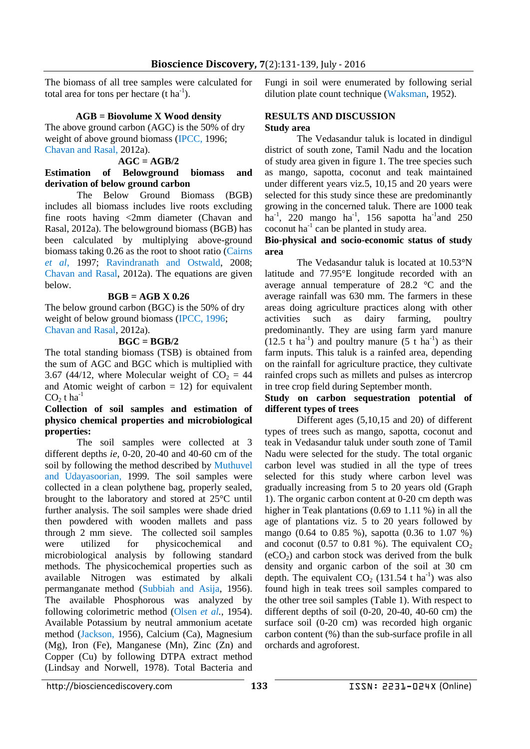The biomass of all tree samples were calculated for total area for tons per hectare  $(t \, ha^{-1})$ .

### **AGB = Biovolume X Wood density**

The above ground carbon (AGC) is the 50% of dry weight of above ground biomass (IPCC, 1996; Chavan and Rasal, 2012a).

# $AGC = AGB/2$

#### **Estimation of Belowground biomass and derivation of below ground carbon**

The Below Ground Biomass (BGB) includes all biomass includes live roots excluding fine roots having <2mm diameter (Chavan and Rasal, 2012a). The belowground biomass (BGB) has been calculated by multiplying above-ground biomass taking 0.26 as the root to shoot ratio (Cairns *et al*, 1997; Ravindranath and Ostwald, 2008; Chavan and Rasal, 2012a). The equations are given below.

# **BGB = AGB X 0.26**

The below ground carbon (BGC) is the 50% of dry weight of below ground biomass (IPCC, 1996; Chavan and Rasal, 2012a).

#### **BGC = BGB/2**

The total standing biomass (TSB) is obtained from the sum of AGC and BGC which is multiplied with 3.67 (44/12, where Molecular weight of  $CO<sub>2</sub> = 44$ and Atomic weight of carbon  $= 12$ ) for equivalent  $CO<sub>2</sub>$  t ha<sup>-1</sup>

## **Collection of soil samples and estimation of physico chemical properties and microbiological properties:**

The soil samples were collected at 3 different depths *ie,* 0-20, 20-40 and 40-60 cm of the soil by following the method described by Muthuvel and Udayasoorian, 1999. The soil samples were collected in a clean polythene bag, properly sealed, brought to the laboratory and stored at 25°C until further analysis. The soil samples were shade dried then powdered with wooden mallets and pass through 2 mm sieve. The collected soil samples were utilized for physicochemical and microbiological analysis by following standard methods. The physicochemical properties such as available Nitrogen was estimated by alkali permanganate method (Subbiah and Asija, 1956). The available Phosphorous was analyzed by following colorimetric method (Olsen *et al.*, 1954). Available Potassium by neutral ammonium acetate method (Jackson, 1956), Calcium (Ca), Magnesium (Mg), Iron (Fe), Manganese (Mn), Zinc (Zn) and Copper (Cu) by following DTPA extract method (Lindsay and Norwell, 1978). Total Bacteria and Fungi in soil were enumerated by following serial dilution plate count technique (Waksman, 1952).

#### **RESULTS AND DISCUSSION Study area**

The Vedasandur taluk is located in dindigul district of south zone, Tamil Nadu and the location of study area given in figure 1. The tree species such as mango, sapotta, coconut and teak maintained under different years viz.5, 10,15 and 20 years were selected for this study since these are predominantly growing in the concerned taluk. There are 1000 teak ha<sup>-1</sup>, 220 mango ha<sup>-1</sup>, 156 sapotta ha<sup>-1</sup> and 250  $\alpha$ coconut ha<sup>-1</sup> can be planted in study area.

#### **Bio-physical and socio-economic status of study area**

The Vedasandur taluk is located at [10.53°N](https://tools.wmflabs.org/geohack/geohack.php?pagename=Vedasandur¶ms=10.53_N_77.95_E_)  [latitude and 77.95°E](https://tools.wmflabs.org/geohack/geohack.php?pagename=Vedasandur¶ms=10.53_N_77.95_E_) longitude recorded with an average annual temperature of 28.2 °C and the average rainfall was 630 mm. The farmers in these areas doing agriculture practices along with other activities such as dairy farming, poultry predominantly. They are using farm yard manure  $(12.5 \text{ t} \text{ ha}^{-1})$  and poultry manure  $(5 \text{ t} \text{ ha}^{-1})$  as their farm inputs. This taluk is a rainfed area, depending on the rainfall for agriculture practice, they cultivate rainfed crops such as millets and pulses as intercrop in tree crop field during September month.

#### **Study on carbon sequestration potential of different types of trees**

Different ages (5,10,15 and 20) of different types of trees such as mango, sapotta, coconut and teak in Vedasandur taluk under south zone of Tamil Nadu were selected for the study. The total organic carbon level was studied in all the type of trees selected for this study where carbon level was gradually increasing from 5 to 20 years old (Graph 1). The organic carbon content at 0-20 cm depth was higher in Teak plantations (0.69 to 1.11 %) in all the age of plantations viz. 5 to 20 years followed by mango (0.64 to 0.85 %), sapotta (0.36 to 1.07 %) and coconut (0.57 to 0.81 %). The equivalent  $CO<sub>2</sub>$  $(eCO<sub>2</sub>)$  and carbon stock was derived from the bulk density and organic carbon of the soil at 30 cm depth. The equivalent  $CO<sub>2</sub>$  (131.54 t ha<sup>-1</sup>) was also found high in teak trees soil samples compared to the other tree soil samples (Table 1). With respect to different depths of soil (0-20, 20-40, 40-60 cm) the surface soil (0-20 cm) was recorded high organic carbon content (%) than the sub-surface profile in all orchards and agroforest.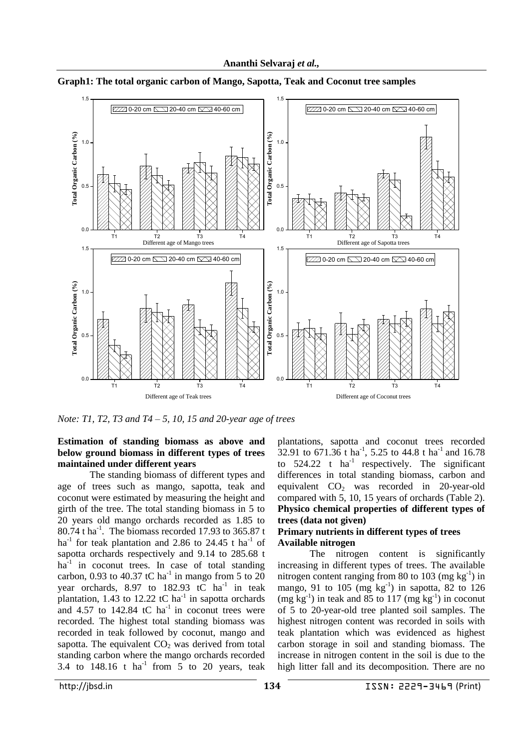

**Graph1: The total organic carbon of Mango, Sapotta, Teak and Coconut tree samples**

*Note: T1, T2, T3 and T4 – 5, 10, 15 and 20-year age of trees* 

# **Estimation of standing biomass as above and below ground biomass in different types of trees maintained under different years**

The standing biomass of different types and age of trees such as mango, sapotta, teak and coconut were estimated by measuring the height and girth of the tree. The total standing biomass in 5 to 20 years old mango orchards recorded as 1.85 to  $80.74$  t ha<sup>-1</sup>. The biomass recorded 17.93 to 365.87 t ha<sup>-1</sup> for teak plantation and 2.86 to 24.45 t ha<sup>-1</sup> of sapotta orchards respectively and 9.14 to 285.68 t ha<sup>-1</sup> in coconut trees. In case of total standing carbon, 0.93 to 40.37 tC ha<sup>-1</sup> in mango from 5 to 20 year orchards, 8.97 to  $182.93$  tC ha<sup>-1</sup> in teak plantation, 1.43 to 12.22 tC ha<sup>-1</sup> in sapotta orchards and  $4.57$  to  $142.84$  tC ha<sup>-1</sup> in coconut trees were recorded. The highest total standing biomass was recorded in teak followed by coconut, mango and sapotta. The equivalent  $CO<sub>2</sub>$  was derived from total standing carbon where the mango orchards recorded 3.4 to  $148.16$  t ha<sup>-1</sup> from  $5$  to 20 years, teak

plantations, sapotta and coconut trees recorded 32.91 to  $671.36$  t ha<sup>-1</sup>, 5.25 to 44.8 t ha<sup>-1</sup> and 16.78 to  $524.22$  t ha<sup>-1</sup> respectively. The significant differences in total standing biomass, carbon and equivalent  $CO<sub>2</sub>$  was recorded in 20-year-old compared with 5, 10, 15 years of orchards (Table 2). **Physico chemical properties of different types of trees (data not given)**

# **Primary nutrients in different types of trees Available nitrogen**

The nitrogen content is significantly increasing in different types of trees. The available nitrogen content ranging from 80 to 103  $(mg kg<sup>-1</sup>)$  in mango, 91 to  $105 \text{ (mg kg}^{-1})$  in sapotta, 82 to  $126$  $(mg \text{ kg}^{-1})$  in teak and 85 to 117  $(mg \text{ kg}^{-1})$  in coconut of 5 to 20-year-old tree planted soil samples. The highest nitrogen content was recorded in soils with teak plantation which was evidenced as highest carbon storage in soil and standing biomass. The increase in nitrogen content in the soil is due to the high litter fall and its decomposition. There are no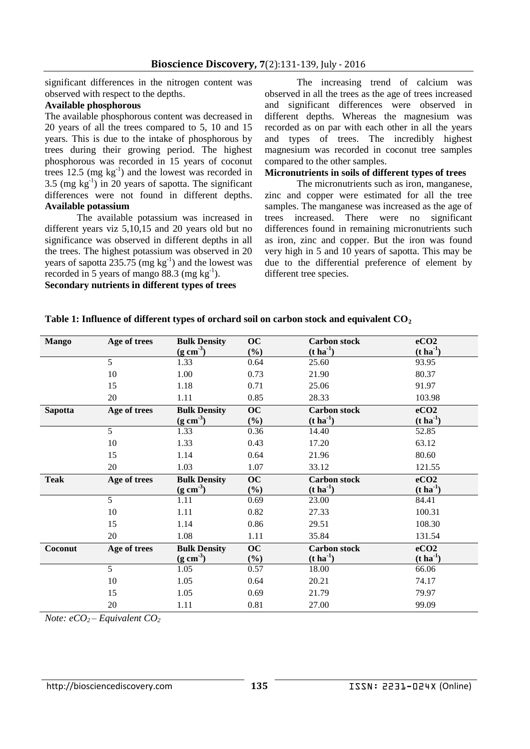significant differences in the nitrogen content was observed with respect to the depths.

# **Available phosphorous**

The available phosphorous content was decreased in 20 years of all the trees compared to 5, 10 and 15 years. This is due to the intake of phosphorous by trees during their growing period. The highest phosphorous was recorded in 15 years of coconut trees  $12.5 \text{ (mg kg}^{-1)}$  and the lowest was recorded in 3.5 (mg  $kg^{-1}$ ) in 20 years of sapotta. The significant differences were not found in different depths. **Available potassium**

The available potassium was increased in different years viz 5,10,15 and 20 years old but no significance was observed in different depths in all the trees. The highest potassium was observed in 20 years of sapotta  $235.75$  (mg kg<sup>-1</sup>) and the lowest was recorded in 5 years of mango 88.3 (mg  $kg^{-1}$ ).

**Secondary nutrients in different types of trees**

The increasing trend of calcium was observed in all the trees as the age of trees increased and significant differences were observed in different depths. Whereas the magnesium was recorded as on par with each other in all the years and types of trees. The incredibly highest magnesium was recorded in coconut tree samples compared to the other samples.

# **Micronutrients in soils of different types of trees**

The micronutrients such as iron, manganese, zinc and copper were estimated for all the tree samples. The manganese was increased as the age of trees increased. There were no significant differences found in remaining micronutrients such as iron, zinc and copper. But the iron was found very high in 5 and 10 years of sapotta. This may be due to the differential preference of element by different tree species.

| <b>Mango</b>   | Age of trees   | <b>Bulk Density</b><br>$(g \text{ cm}^3)$ | <b>OC</b><br>$(\%)$ | <b>Carbon stock</b><br>$(t \, \mathrm{ha}^{-1})$ | eCO <sub>2</sub><br>$(t \, \text{ha}^{-1})$ |
|----------------|----------------|-------------------------------------------|---------------------|--------------------------------------------------|---------------------------------------------|
|                | 5              | 1.33                                      | 0.64                | 25.60                                            | 93.95                                       |
|                | 10             | 1.00                                      | 0.73                | 21.90                                            | 80.37                                       |
|                | 15             | 1.18                                      | 0.71                | 25.06                                            | 91.97                                       |
|                | 20             | 1.11                                      | 0.85                | 28.33                                            | 103.98                                      |
| <b>Sapotta</b> | Age of trees   | <b>Bulk Density</b>                       | <b>OC</b>           | <b>Carbon stock</b>                              | eCO2                                        |
|                |                | $(g \text{ cm}^3)$                        | $(\%)$              | $(t \, \mathrm{ha}^{-1})$                        | $(t \, \mathrm{ha}^{-1})$                   |
|                | 5 <sup>5</sup> | 1.33                                      | 0.36                | 14.40                                            | 52.85                                       |
|                | 10             | 1.33                                      | 0.43                | 17.20                                            | 63.12                                       |
|                | 15             | 1.14                                      | 0.64                | 21.96                                            | 80.60                                       |
|                | 20             | 1.03                                      | 1.07                | 33.12                                            | 121.55                                      |
| <b>Teak</b>    | Age of trees   | <b>Bulk Density</b>                       | <b>OC</b>           | <b>Carbon stock</b>                              | eCO <sub>2</sub>                            |
|                |                | $(g \text{ cm}^3)$                        | $(\%)$              | $(t \, \text{ha}^{-1})$                          | $(t \, \mathrm{ha}^{-1})$                   |
|                | 5              | 1.11                                      | 0.69                | 23.00                                            | 84.41                                       |
|                | 10             | 1.11                                      | 0.82                | 27.33                                            | 100.31                                      |
|                | 15             | 1.14                                      | 0.86                | 29.51                                            | 108.30                                      |
|                | 20             | 1.08                                      | 1.11                | 35.84                                            | 131.54                                      |
| Coconut        | Age of trees   | <b>Bulk Density</b>                       | <b>OC</b>           | <b>Carbon</b> stock                              | eCO <sub>2</sub>                            |
|                |                | $(g \text{ cm}^3)$                        | $(\%)$              | $(t \, \text{ha}^{-1})$                          | $(t \, \mathrm{ha}^{-1})$                   |
|                | 5              | 1.05                                      | 0.57                | 18.00                                            | 66.06                                       |
|                | 10             | 1.05                                      | 0.64                | 20.21                                            | 74.17                                       |
|                | 15             | 1.05                                      | 0.69                | 21.79                                            | 79.97                                       |
|                | 20             | 1.11                                      | 0.81                | 27.00                                            | 99.09                                       |

**Table 1: Influence of different types of orchard soil on carbon stock and equivalent CO<sup>2</sup>**

*Note: eCO2 – Equivalent CO<sup>2</sup>*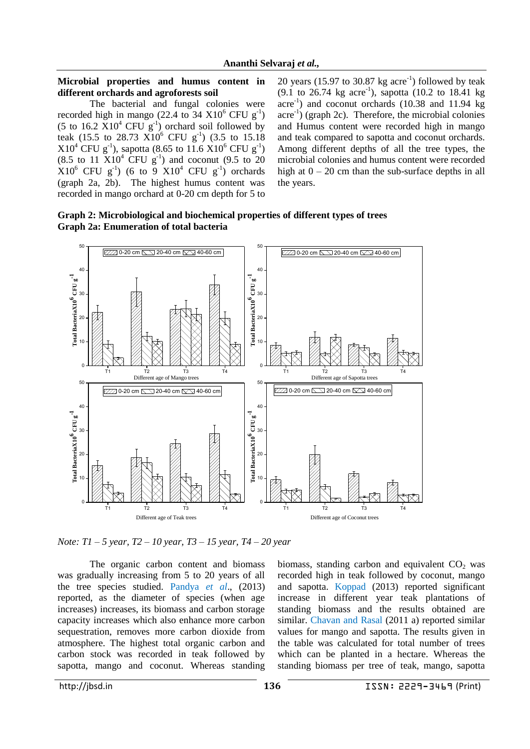#### **Microbial properties and humus content in different orchards and agroforests soil**

The bacterial and fungal colonies were recorded high in mango (22.4 to  $34 \text{ X}10^6 \text{ CFU g}^{-1}$ ) (5 to  $16.2 \text{ X}10^4 \text{ CFU g}^{-1}$ ) orchard soil followed by teak (15.5 to 28.73  $\overline{X}10^6$  CFU  $g^{-1}$ ) (3.5 to 15.18  $X10^4$  CFU g<sup>-1</sup>), sapotta (8.65 to 11.6  $X10^6$  CFU g<sup>-1</sup>)  $(8.5 \text{ to } 11 \text{ X}10^4 \text{ CFU g}^{-1})$  and coconut  $(9.5 \text{ to } 20$  $X10^6$  CFU g<sup>-1</sup>) (6 to 9  $X10^4$  CFU g<sup>-1</sup>) orchards (graph 2a, 2b). The highest humus content was recorded in mango orchard at 0-20 cm depth for 5 to

20 years  $(15.97 \text{ to } 30.87 \text{ kg } \text{acre}^{-1})$  followed by teak  $(9.1 \text{ to } 26.74 \text{ kg acre}^{-1})$ , sapotta  $(10.2 \text{ to } 18.41 \text{ kg})$ acre<sup>-1</sup>) and coconut orchards (10.38 and 11.94 kg acre<sup>-1</sup>) (graph 2c). Therefore, the microbial colonies and Humus content were recorded high in mango and teak compared to sapotta and coconut orchards. Among different depths of all the tree types, the microbial colonies and humus content were recorded high at  $0 - 20$  cm than the sub-surface depths in all the years.





*Note: T1 – 5 year, T2 – 10 year, T3 – 15 year, T4 – 20 year* 

The organic carbon content and biomass was gradually increasing from 5 to 20 years of all the tree species studied. Pandya *et al*., (2013) reported, as the diameter of species (when age increases) increases, its biomass and carbon storage capacity increases which also enhance more carbon sequestration, removes more carbon dioxide from atmosphere. The highest total organic carbon and carbon stock was recorded in teak followed by sapotta, mango and coconut. Whereas standing biomass, standing carbon and equivalent  $CO<sub>2</sub>$  was recorded high in teak followed by coconut, mango and sapotta. Koppad (2013) reported significant increase in different year teak plantations of standing biomass and the results obtained are similar. Chavan and Rasal (2011 a) reported similar values for mango and sapotta. The results given in the table was calculated for total number of trees which can be planted in a hectare. Whereas the standing biomass per tree of teak, mango, sapotta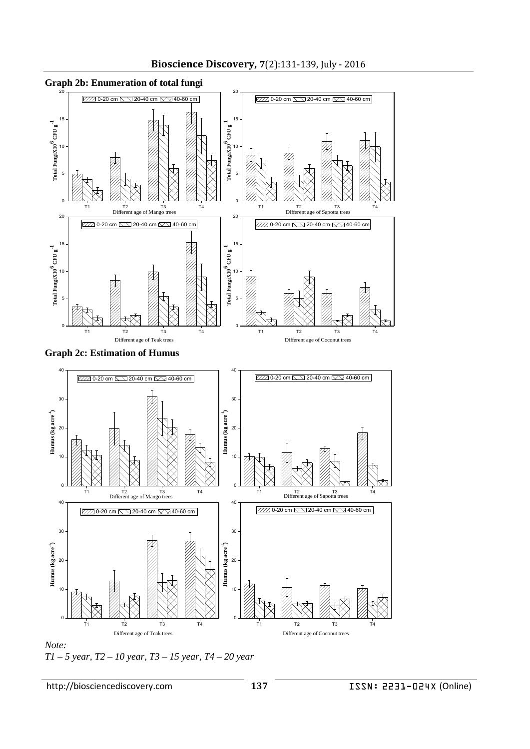

*Note: T1 – 5 year, T2 – 10 year, T3 – 15 year, T4 – 20 year*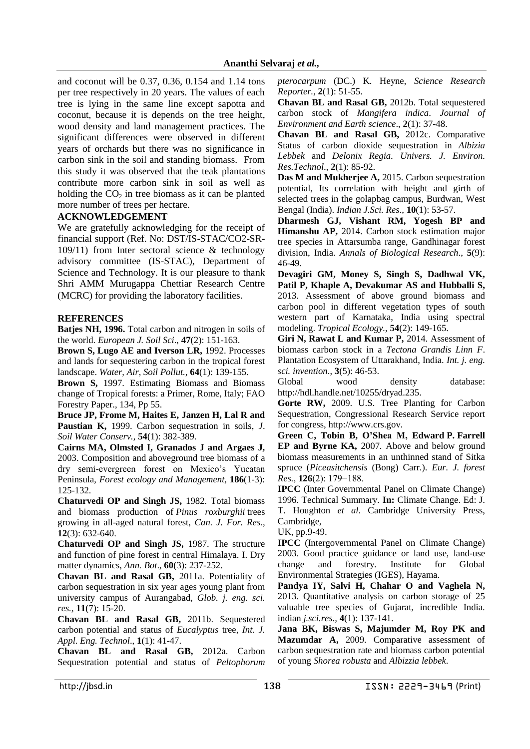and coconut will be 0.37, 0.36, 0.154 and 1.14 tons per tree respectively in 20 years. The values of each tree is lying in the same line except sapotta and coconut, because it is depends on the tree height, wood density and land management practices. The significant differences were observed in different years of orchards but there was no significance in carbon sink in the soil and standing biomass. From this study it was observed that the teak plantations contribute more carbon sink in soil as well as holding the  $CO<sub>2</sub>$  in tree biomass as it can be planted more number of trees per hectare.

# **ACKNOWLEDGEMENT**

We are gratefully acknowledging for the receipt of financial support (Ref. No: DST/IS-STAC/CO2-SR-109/11) from Inter sectoral science & technology advisory committee (IS-STAC), Department of Science and Technology. It is our pleasure to thank Shri AMM Murugappa Chettiar Research Centre (MCRC) for providing the laboratory facilities.

# **REFERENCES**

**Batjes NH, 1996.** Total carbon and nitrogen in soils of the world. *European J. Soil Sci*., **47**(2): 151-163.

**Brown S, Lugo AE and Iverson LR,** 1992. Processes and lands for sequestering carbon in the tropical forest landscape. *Water, Air, Soil Pollut.,* **64**(1): 139-155.

**Brown S,** 1997. Estimating Biomass and Biomass change of Tropical forests: a Primer, Rome, Italy; FAO Forestry Paper., 134, Pp 55.

**Bruce JP, Frome M, Haites E, Janzen H, Lal R and Paustian K,** 1999. Carbon sequestration in soils, *J*. *Soil Water Conserv.,* **54**(1): 382-389.

**Cairns MA, Olmsted I, Granados J and Argaes J,** 2003. Composition and aboveground tree biomass of a dry semi-evergreen forest on Mexico's Yucatan Peninsula, *Forest ecology and Management,* **186**(1-3): 125-132.

**Chaturvedi OP and Singh JS,** 1982. Total biomass and biomass production of *Pinus roxburghii* trees growing in all-aged natural forest, *Can. J. For. Res.,* **12**(3): 632-640.

**Chaturvedi OP and Singh JS,** 1987. The structure and function of pine forest in central Himalaya. I. Dry matter dynamics, *Ann. Bot*., **60**(3): 237-252.

**Chavan BL and Rasal GB,** 2011a. Potentiality of carbon sequestration in six year ages young plant from university campus of Aurangabad, *Glob. j. eng. sci. res.,* **11**(7): 15-20.

**Chavan BL and Rasal GB,** 2011b. Sequestered carbon potential and status of *Eucalyptus* tree, *Int. J. Appl. Eng. Technol*., **1**(1): 41-47.

**Chavan BL and Rasal GB,** 2012a. Carbon Sequestration potential and status of *Peltophorum*  *pterocarpum* (DC.) K. Heyne, *Science Research Reporter.,* **2**(1): 51-55.

**Chavan BL and Rasal GB,** 2012b. Total sequestered carbon stock of *Mangifera indica*. *Journal of Environment and Earth science*., **2**(1): 37-48.

**Chavan BL and Rasal GB,** 2012c. Comparative Status of carbon dioxide sequestration in *Albizia Lebbek* and *Delonix Regia*. *Univers. J. Environ. Res.Technol*., **2**(1): 85-92.

**Das M and Mukherjee A,** 2015. Carbon sequestration potential, Its correlation with height and girth of selected trees in the golapbag campus, Burdwan, West Bengal (India). *Indian J.Sci. Res*., **10**(1): 53-57.

**Dharmesh GJ, Vishant RM, Yogesh BP and Himanshu AP,** 2014. Carbon stock estimation major tree species in Attarsumba range, Gandhinagar forest division, India. *Annals of Biological Research*., **5**(9): 46-49.

**Devagiri GM, Money S, Singh S, Dadhwal VK, Patil P, Khaple A, Devakumar AS and Hubballi S,** 2013. Assessment of above ground biomass and carbon pool in different vegetation types of south western part of Karnataka, India using spectral modeling. *Tropical Ecology.,* **54**(2): 149-165.

**Giri N, Rawat L and Kumar P,** 2014. Assessment of biomass carbon stock in a *Tectona Grandis Linn F*. Plantation Ecosystem of Uttarakhand, India. *Int. j. eng. sci. invention*., **3**(5): 46-53.

Global wood density database: http://hdl.handle.net/10255/dryad.235.

**Gorte RW,** 2009. U.S. Tree Planting for Carbon Sequestration, Congressional Research Service report for congress, http://www.crs.gov.

**Green C, Tobin B, O'Shea M, Edward P. Farrell EP and Byrne KA,** 2007. Above and below ground biomass measurements in an unthinned stand of Sitka spruce (*Piceasitchensis* (Bong) Carr.). *Eur. J. forest Res.,* **126**(2): 179−188.

**IPCC** (Inter Governmental Panel on Climate Change) 1996. Technical Summary. **In:** Climate Change. Ed: J. T. Houghton *et al*. Cambridge University Press, Cambridge,

UK, pp.9-49.

**IPCC** (Intergovernmental Panel on Climate Change) 2003. Good practice guidance or land use, land-use change and forestry. Institute for Global Environmental Strategies (IGES), Hayama.

**Pandya IY, Salvi H, Chahar O and Vaghela N,** 2013. Quantitative analysis on carbon storage of 25 valuable tree species of Gujarat, incredible India. indian *j.sci.res.,* **4**(1): 137-141.

**Jana BK, Biswas S, Majumder M, Roy PK and Mazumdar A,** 2009. Comparative assessment of carbon sequestration rate and biomass carbon potential of young *Shorea robusta* and *Albizzia lebbek*.